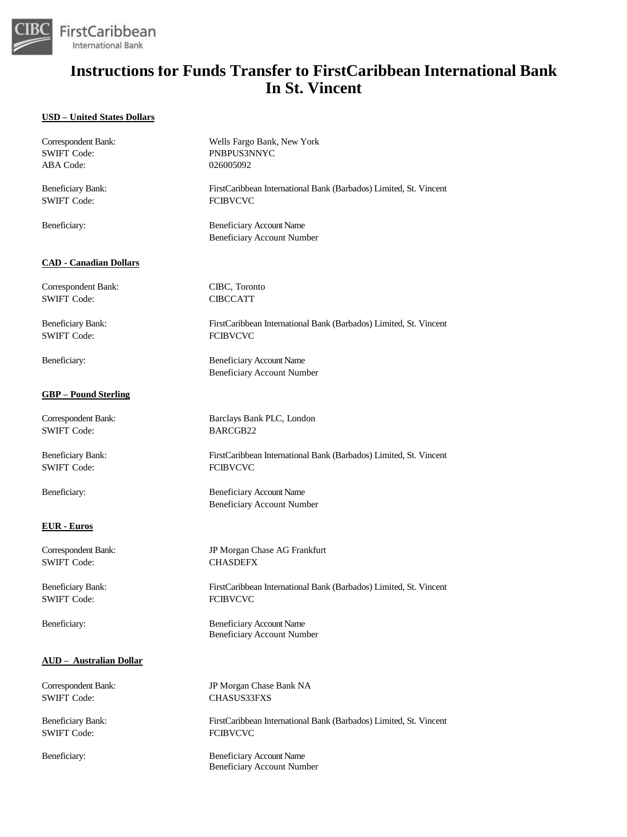

### **USD – United States Dollars**

| Correspondent Bank:            | Wells Fargo Bank, New York                                           |
|--------------------------------|----------------------------------------------------------------------|
| <b>SWIFT Code:</b>             | PNBPUS3NNYC                                                          |
| ABA Code:                      | 026005092                                                            |
| <b>Beneficiary Bank:</b>       | FirstCaribbean International Bank (Barbados) Limited, St. Vincent    |
| <b>SWIFT Code:</b>             | <b>FCIBVCVC</b>                                                      |
| Beneficiary:                   | <b>Beneficiary Account Name</b><br><b>Beneficiary Account Number</b> |
| <b>CAD - Canadian Dollars</b>  |                                                                      |
| Correspondent Bank:            | CIBC, Toronto                                                        |
| <b>SWIFT Code:</b>             | <b>CIBCCATT</b>                                                      |
| <b>Beneficiary Bank:</b>       | FirstCaribbean International Bank (Barbados) Limited, St. Vincent    |
| <b>SWIFT Code:</b>             | <b>FCIBVCVC</b>                                                      |
| Beneficiary:                   | <b>Beneficiary Account Name</b><br><b>Beneficiary Account Number</b> |
| <b>GBP</b> – Pound Sterling    |                                                                      |
| Correspondent Bank:            | Barclays Bank PLC, London                                            |
| <b>SWIFT Code:</b>             | BARCGB22                                                             |
| <b>Beneficiary Bank:</b>       | FirstCaribbean International Bank (Barbados) Limited, St. Vincent    |
| <b>SWIFT Code:</b>             | <b>FCIBVCVC</b>                                                      |
| Beneficiary:                   | <b>Beneficiary Account Name</b><br><b>Beneficiary Account Number</b> |
| <b>EUR</b> - Euros             |                                                                      |
| Correspondent Bank:            | JP Morgan Chase AG Frankfurt                                         |
| <b>SWIFT Code:</b>             | <b>CHASDEFX</b>                                                      |
| <b>Beneficiary Bank:</b>       | FirstCaribbean International Bank (Barbados) Limited, St. Vincent    |
| <b>SWIFT Code:</b>             | <b>FCIBVCVC</b>                                                      |
| Beneficiary:                   | <b>Beneficiary Account Name</b><br><b>Beneficiary Account Number</b> |
| <b>AUD</b> - Australian Dollar |                                                                      |
| Correspondent Bank:            | JP Morgan Chase Bank NA                                              |
| <b>SWIFT Code:</b>             | <b>CHASUS33FXS</b>                                                   |
| <b>Beneficiary Bank:</b>       | FirstCaribbean International Bank (Barbados) Limited, St. Vincent    |
| <b>SWIFT Code:</b>             | <b>FCIBVCVC</b>                                                      |
| Beneficiary:                   | <b>Beneficiary Account Name</b><br><b>Beneficiary Account Number</b> |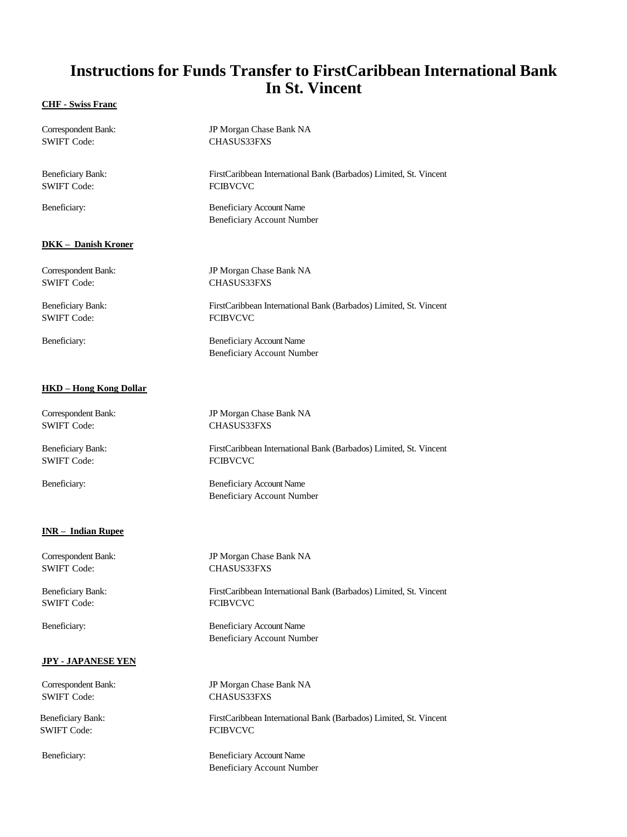#### **CHF - Swiss Franc**

| Correspondent Bank:           | JP Morgan Chase Bank NA                                              |
|-------------------------------|----------------------------------------------------------------------|
| <b>SWIFT Code:</b>            | CHASUS33FXS                                                          |
| <b>Beneficiary Bank:</b>      | FirstCaribbean International Bank (Barbados) Limited, St. Vincent    |
| <b>SWIFT Code:</b>            | <b>FCIBVCVC</b>                                                      |
| Beneficiary:                  | <b>Beneficiary Account Name</b><br><b>Beneficiary Account Number</b> |
| <b>DKK</b> - Danish Kroner    |                                                                      |
| Correspondent Bank:           | JP Morgan Chase Bank NA                                              |
| <b>SWIFT Code:</b>            | <b>CHASUS33FXS</b>                                                   |
| <b>Beneficiary Bank:</b>      | FirstCaribbean International Bank (Barbados) Limited, St. Vincent    |
| <b>SWIFT Code:</b>            | <b>FCIBVCVC</b>                                                      |
| Beneficiary:                  | <b>Beneficiary Account Name</b><br><b>Beneficiary Account Number</b> |
| <b>HKD</b> - Hong Kong Dollar |                                                                      |
| Correspondent Bank:           | JP Morgan Chase Bank NA                                              |
| <b>SWIFT Code:</b>            | CHASUS33FXS                                                          |
| <b>Beneficiary Bank:</b>      | FirstCaribbean International Bank (Barbados) Limited, St. Vincent    |
| <b>SWIFT Code:</b>            | <b>FCIBVCVC</b>                                                      |
| Beneficiary:                  | <b>Beneficiary Account Name</b><br><b>Beneficiary Account Number</b> |
| <b>INR-Indian Rupee</b>       |                                                                      |
| Correspondent Bank:           | JP Morgan Chase Bank NA                                              |
| <b>SWIFT Code:</b>            | <b>CHASUS33FXS</b>                                                   |
| <b>Beneficiary Bank:</b>      | FirstCaribbean International Bank (Barbados) Limited, St. Vincent    |
| <b>SWIFT Code:</b>            | <b>FCIBVCVC</b>                                                      |
| Beneficiary:                  | <b>Beneficiary Account Name</b><br><b>Beneficiary Account Number</b> |
| <b>JPY - JAPANESE YEN</b>     |                                                                      |
| Correspondent Bank:           | JP Morgan Chase Bank NA                                              |
| <b>SWIFT Code:</b>            | <b>CHASUS33FXS</b>                                                   |
| Beneficiary Bank:             | FirstCaribbean International Bank (Barbados) Limited, St. Vincent    |
| <b>SWIFT Code:</b>            | <b>FCIBVCVC</b>                                                      |
| Beneficiary:                  | <b>Beneficiary Account Name</b><br><b>Beneficiary Account Number</b> |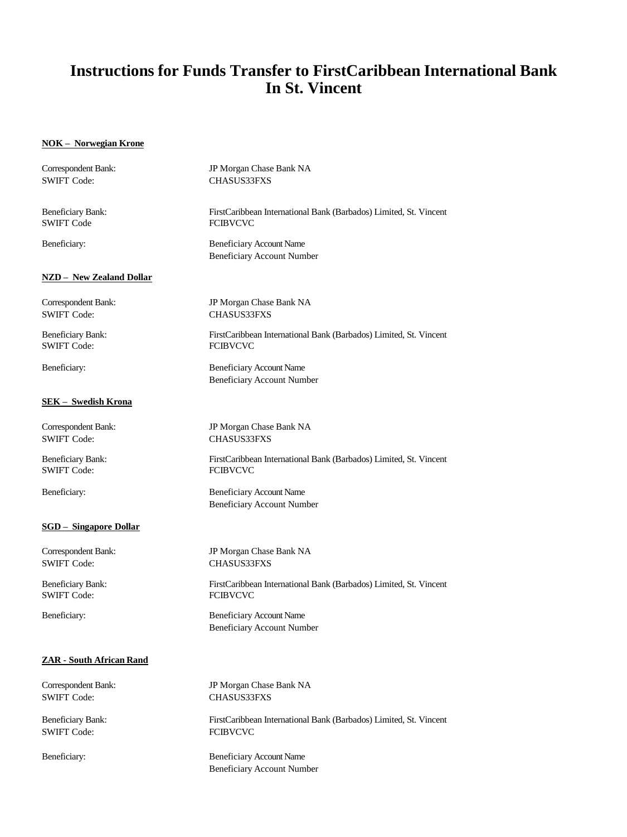### **NOK – Norwegian Krone**

| Correspondent Bank:             | JP Morgan Chase Bank NA                                              |
|---------------------------------|----------------------------------------------------------------------|
| <b>SWIFT Code:</b>              | <b>CHASUS33FXS</b>                                                   |
| <b>Beneficiary Bank:</b>        | FirstCaribbean International Bank (Barbados) Limited, St. Vincent    |
| <b>SWIFT Code</b>               | <b>FCIBVCVC</b>                                                      |
| Beneficiary:                    | <b>Beneficiary Account Name</b><br><b>Beneficiary Account Number</b> |
| <b>NZD</b> - New Zealand Dollar |                                                                      |
| Correspondent Bank:             | JP Morgan Chase Bank NA                                              |
| <b>SWIFT Code:</b>              | <b>CHASUS33FXS</b>                                                   |
| <b>Beneficiary Bank:</b>        | FirstCaribbean International Bank (Barbados) Limited, St. Vincent    |
| <b>SWIFT Code:</b>              | <b>FCIBVCVC</b>                                                      |
| Beneficiary:                    | <b>Beneficiary Account Name</b><br><b>Beneficiary Account Number</b> |
| SEK - Swedish Krona             |                                                                      |
| Correspondent Bank:             | JP Morgan Chase Bank NA                                              |
| <b>SWIFT Code:</b>              | <b>CHASUS33FXS</b>                                                   |
| <b>Beneficiary Bank:</b>        | FirstCaribbean International Bank (Barbados) Limited, St. Vincent    |
| <b>SWIFT Code:</b>              | <b>FCIBVCVC</b>                                                      |
| Beneficiary:                    | <b>Beneficiary Account Name</b><br><b>Beneficiary Account Number</b> |
| <b>SGD</b> - Singapore Dollar   |                                                                      |
| Correspondent Bank:             | JP Morgan Chase Bank NA                                              |
| <b>SWIFT Code:</b>              | <b>CHASUS33FXS</b>                                                   |
| Beneficiary Bank:               | FirstCaribbean International Bank (Barbados) Limited, St. Vincent    |
| <b>SWIFT Code:</b>              | <b>FCIBVCVC</b>                                                      |
| Beneficiary:                    | <b>Beneficiary Account Name</b><br><b>Beneficiary Account Number</b> |
| ZAR - South African Rand        |                                                                      |
| Correspondent Bank:             | JP Morgan Chase Bank NA                                              |
| <b>SWIFT Code:</b>              | <b>CHASUS33FXS</b>                                                   |
| <b>Beneficiary Bank:</b>        | FirstCaribbean International Bank (Barbados) Limited, St. Vincent    |
| <b>SWIFT Code:</b>              | <b>FCIBVCVC</b>                                                      |
| Beneficiary:                    | <b>Beneficiary Account Name</b><br><b>Beneficiary Account Number</b> |